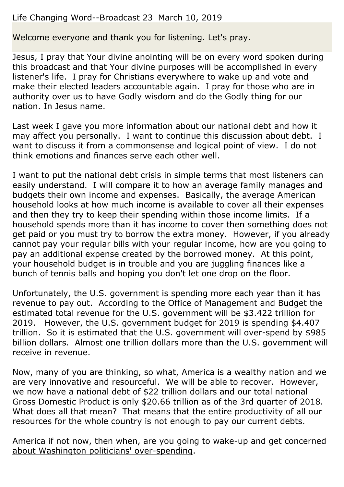# Life Changing Word--Broadcast 23 March 10, 2019

Welcome everyone and thank you for listening. Let's pray.

Jesus, I pray that Your divine anointing will be on every word spoken during this broadcast and that Your divine purposes will be accomplished in every listener's life. I pray for Christians everywhere to wake up and vote and make their elected leaders accountable again. I pray for those who are in authority over us to have Godly wisdom and do the Godly thing for our nation. In Jesus name.

Last week I gave you more information about our national debt and how it may affect you personally. I want to continue this discussion about debt. I want to discuss it from a commonsense and logical point of view. I do not think emotions and finances serve each other well.

I want to put the national debt crisis in simple terms that most listeners can easily understand. I will compare it to how an average family manages and budgets their own income and expenses. Basically, the average American household looks at how much income is available to cover all their expenses and then they try to keep their spending within those income limits. If a household spends more than it has income to cover then something does not get paid or you must try to borrow the extra money. However, if you already cannot pay your regular bills with your regular income, how are you going to pay an additional expense created by the borrowed money. At this point, your household budget is in trouble and you are juggling finances like a bunch of tennis balls and hoping you don't let one drop on the floor.

Unfortunately, the U.S. government is spending more each year than it has revenue to pay out. According to the Office of Management and Budget the estimated total revenue for the U.S. government will be \$3.422 trillion for 2019. However, the U.S. government budget for 2019 is spending \$4.407 trillion. So it is estimated that the U.S. government will over-spend by \$985 billion dollars. Almost one trillion dollars more than the U.S. government will receive in revenue.

Now, many of you are thinking, so what, America is a wealthy nation and we are very innovative and resourceful. We will be able to recover. However, we now have a national debt of \$22 trillion dollars and our total national Gross Domestic Product is only \$20.66 trillion as of the 3rd quarter of 2018. What does all that mean? That means that the entire productivity of all our resources for the whole country is not enough to pay our current debts.

America if not now, then when, are you going to wake-up and get concerned about Washington politicians' over-spending.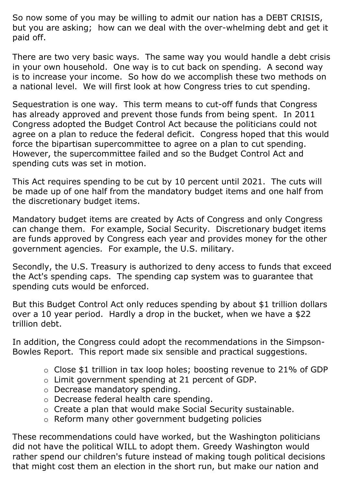So now some of you may be willing to admit our nation has a DEBT CRISIS, but you are asking; how can we deal with the over-whelming debt and get it paid off.

There are two very basic ways. The same way you would handle a debt crisis in your own household. One way is to cut back on spending. A second way is to increase your income. So how do we accomplish these two methods on a national level. We will first look at how Congress tries to cut spending.

Sequestration is one way. This term means to cut-off funds that Congress has already approved and prevent those funds from being spent. In 2011 Congress adopted the Budget Control Act because the politicians could not agree on a plan to reduce the federal deficit. Congress hoped that this would force the bipartisan supercommittee to agree on a plan to cut spending. However, the supercommittee failed and so the Budget Control Act and spending cuts was set in motion.

This Act requires spending to be cut by 10 percent until 2021. The cuts will be made up of one half from the mandatory budget items and one half from the discretionary budget items.

Mandatory budget items are created by Acts of Congress and only Congress can change them. For example, Social Security. Discretionary budget items are funds approved by Congress each year and provides money for the other government agencies. For example, the U.S. military.

Secondly, the U.S. Treasury is authorized to deny access to funds that exceed the Act's spending caps. The spending cap system was to guarantee that spending cuts would be enforced.

But this Budget Control Act only reduces spending by about \$1 trillion dollars over a 10 year period. Hardly a drop in the bucket, when we have a \$22 trillion debt.

In addition, the Congress could adopt the recommendations in the Simpson-Bowles Report. This report made six sensible and practical suggestions.

- o Close \$1 trillion in tax loop holes; boosting revenue to 21% of GDP
- o Limit government spending at 21 percent of GDP.
- o Decrease mandatory spending.
- o Decrease federal health care spending.
- o Create a plan that would make Social Security sustainable.
- o Reform many other government budgeting policies

These recommendations could have worked, but the Washington politicians did not have the political WILL to adopt them. Greedy Washington would rather spend our children's future instead of making tough political decisions that might cost them an election in the short run, but make our nation and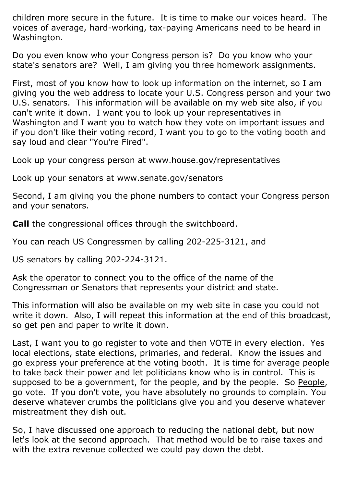children more secure in the future. It is time to make our voices heard. The voices of average, hard-working, tax-paying Americans need to be heard in Washington.

Do you even know who your Congress person is? Do you know who your state's senators are? Well, I am giving you three homework assignments.

First, most of you know how to look up information on the internet, so I am giving you the web address to locate your U.S. Congress person and your two U.S. senators. This information will be available on my web site also, if you can't write it down. I want you to look up your representatives in Washington and I want you to watch how they vote on important issues and if you don't like their voting record, I want you to go to the voting booth and say loud and clear "You're Fired".

Look up your congress person at www.house.gov/representatives

Look up your senators at www.senate.gov/senators

Second, I am giving you the phone numbers to contact your Congress person and your senators.

**Call** the congressional offices through the switchboard.

You can reach US Congressmen by calling 202-225-3121, and

US senators by calling 202-224-3121.

Ask the operator to connect you to the office of the name of the Congressman or Senators that represents your district and state.

This information will also be available on my web site in case you could not write it down. Also, I will repeat this information at the end of this broadcast, so get pen and paper to write it down.

Last, I want you to go register to vote and then VOTE in every election. Yes local elections, state elections, primaries, and federal. Know the issues and go express your preference at the voting booth. It is time for average people to take back their power and let politicians know who is in control. This is supposed to be a government, for the people, and by the people. So People, go vote. If you don't vote, you have absolutely no grounds to complain. You deserve whatever crumbs the politicians give you and you deserve whatever mistreatment they dish out.

So, I have discussed one approach to reducing the national debt, but now let's look at the second approach. That method would be to raise taxes and with the extra revenue collected we could pay down the debt.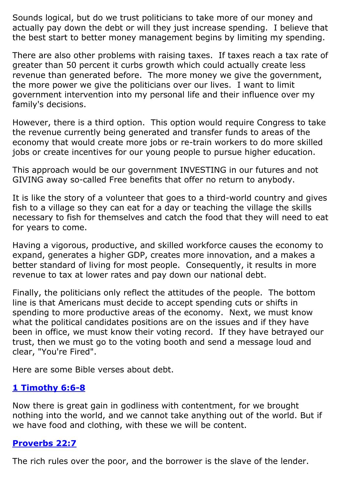Sounds logical, but do we trust politicians to take more of our money and actually pay down the debt or will they just increase spending. I believe that the best start to better money management begins by limiting my spending.

There are also other problems with raising taxes. If taxes reach a tax rate of greater than 50 percent it curbs growth which could actually create less revenue than generated before. The more money we give the government, the more power we give the politicians over our lives. I want to limit government intervention into my personal life and their influence over my family's decisions.

However, there is a third option. This option would require Congress to take the revenue currently being generated and transfer funds to areas of the economy that would create more jobs or re-train workers to do more skilled jobs or create incentives for our young people to pursue higher education.

This approach would be our government INVESTING in our futures and not GIVING away so-called Free benefits that offer no return to anybody.

It is like the story of a volunteer that goes to a third-world country and gives fish to a village so they can eat for a day or teaching the village the skills necessary to fish for themselves and catch the food that they will need to eat for years to come.

Having a vigorous, productive, and skilled workforce causes the economy to expand, generates a higher GDP, creates more innovation, and a makes a better standard of living for most people. Consequently, it results in more revenue to tax at lower rates and pay down our national debt.

Finally, the politicians only reflect the attitudes of the people. The bottom line is that Americans must decide to accept spending cuts or shifts in spending to more productive areas of the economy. Next, we must know what the political candidates positions are on the issues and if they have been in office, we must know their voting record. If they have betrayed our trust, then we must go to the voting booth and send a message loud and clear, "You're Fired".

Here are some Bible verses about debt.

# **[1 Timothy 6:6-8](https://www.biblegateway.com/passage/?search=1+Timothy+6%3A6-8&version=ESV)**

Now there is great gain in godliness with contentment, for we brought nothing into the world, and we cannot take anything out of the world. But if we have food and clothing, with these we will be content.

# **[Proverbs 22:7](https://www.biblegateway.com/passage/?search=Proverbs+22%3A7&version=ESV)**

The rich rules over the poor, and the borrower is the slave of the lender.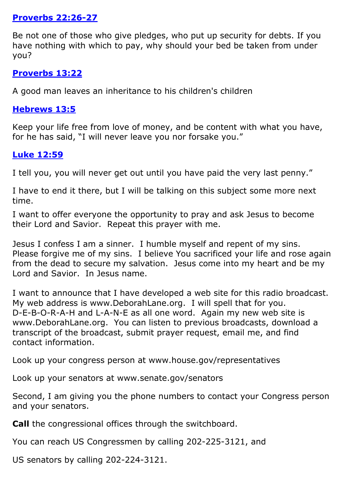### **[Proverbs 22:26-27](https://www.biblegateway.com/passage/?search=Proverbs+22%3A26-27&version=ESV)**

Be not one of those who give pledges, who put up security for debts. If you have nothing with which to pay, why should your bed be taken from under you?

#### **[Proverbs 13:22](https://www.biblegateway.com/passage/?search=Proverbs+13%3A22&version=ESV)**

A good man leaves an inheritance to his children's children

### **[Hebrews 13:5](https://www.biblegateway.com/passage/?search=Hebrews+13%3A5&version=ESV)**

Keep your life free from love of money, and be content with what you have, for he has said, "I will never leave you nor forsake you."

# **[Luke 12:59](https://www.biblegateway.com/passage/?search=Luke+12%3A59&version=ESV)**

I tell you, you will never get out until you have paid the very last penny."

I have to end it there, but I will be talking on this subject some more next time.

I want to offer everyone the opportunity to pray and ask Jesus to become their Lord and Savior. Repeat this prayer with me.

Jesus I confess I am a sinner. I humble myself and repent of my sins. Please forgive me of my sins. I believe You sacrificed your life and rose again from the dead to secure my salvation. Jesus come into my heart and be my Lord and Savior. In Jesus name.

I want to announce that I have developed a web site for this radio broadcast. My web address is www.DeborahLane.org. I will spell that for you. D-E-B-O-R-A-H and L-A-N-E as all one word. Again my new web site is www.DeborahLane.org. You can listen to previous broadcasts, download a transcript of the broadcast, submit prayer request, email me, and find contact information.

Look up your congress person at www.house.gov/representatives

Look up your senators at www.senate.gov/senators

Second, I am giving you the phone numbers to contact your Congress person and your senators.

**Call** the congressional offices through the switchboard.

You can reach US Congressmen by calling 202-225-3121, and

US senators by calling 202-224-3121.